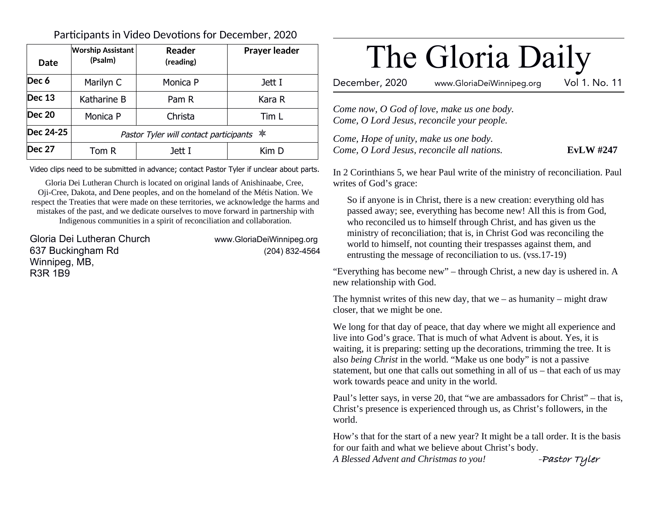## Participants in Video Devotions for December, 2020

| Date          | <b>Worship Assistant</b><br>(Psalm)        | Reader<br>(reading) | <b>Prayer leader</b> |
|---------------|--------------------------------------------|---------------------|----------------------|
| Dec 6         | Marilyn C                                  | Monica P            | Jett I               |
| Dec 13        | Katharine B                                | Pam R               | Kara R               |
| <b>Dec 20</b> | Monica P                                   | Christa             | Tim L                |
| Dec 24-25     | Pastor Tyler will contact participants $*$ |                     |                      |
| Dec 27        | Tom R                                      | Jett I              | Kim D                |

Video clips need to be submitted in advance; contact Pastor Tyler if unclear about parts.

Gloria Dei Lutheran Church is located on original lands of Anishinaabe, Cree, Oji-Cree, Dakota, and Dene peoples, and on the homeland of the Métis Nation. We respect the Treaties that were made on these territories, we acknowledge the harms and mistakes of the past, and we dedicate ourselves to move forward in partnership with Indigenous communities in a spirit of reconciliation and collaboration.

Gloria Dei Lutheran Church www.GloriaDeiWinnipeg.org 637 Buckingham Rd (204) 832-4564 Winnipeg, MB, R3R 1B9

# The Gloria Daily

December, 2020 www.GloriaDeiWinnipeg.org Vol 1. No. 11

*Come now, O God of love, make us one body. Come, O Lord Jesus, reconcile your people.*

*Come, Hope of unity, make us one body. Come, O Lord Jesus, reconcile all nations.* **EvLW #247**

In 2 Corinthians 5, we hear Paul write of the ministry of reconciliation. Paul writes of God's grace:

So if anyone is in Christ, there is a new creation: everything old has passed away; see, everything has become new! All this is from God, who reconciled us to himself through Christ, and has given us the ministry of reconciliation; that is, in Christ God was reconciling the world to himself, not counting their trespasses against them, and entrusting the message of reconciliation to us. (vss.17-19)

"Everything has become new" – through Christ, a new day is ushered in. A new relationship with God.

The hymnist writes of this new day, that we  $-$  as humanity  $-$  might draw closer, that we might be one.

We long for that day of peace, that day where we might all experience and live into God's grace. That is much of what Advent is about. Yes, it is waiting, it is preparing: setting up the decorations, trimming the tree. It is also *being Christ* in the world. "Make us one body" is not a passive statement, but one that calls out something in all of us – that each of us may work towards peace and unity in the world.

Paul's letter says, in verse 20, that "we are ambassadors for Christ" – that is, Christ's presence is experienced through us, as Christ's followers, in the world.

How's that for the start of a new year? It might be a tall order. It is the basis for our faith and what we believe about Christ's body.

*A Blessed Advent and Christmas to you!* **-Pastor Tyler**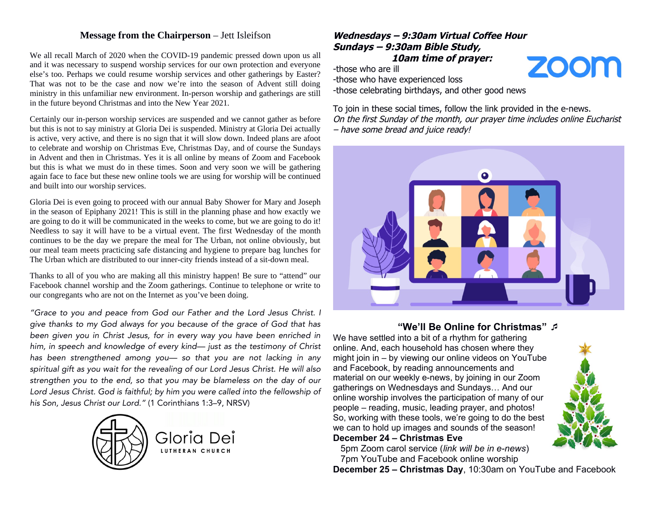#### **Message from the Chairperson** – Jett Isleifson

We all recall March of 2020 when the COVID-19 pandemic pressed down upon us all and it was necessary to suspend worship services for our own protection and everyone else's too. Perhaps we could resume worship services and other gatherings by Easter? That was not to be the case and now we're into the season of Advent still doing ministry in this unfamiliar new environment. In-person worship and gatherings are still in the future beyond Christmas and into the New Year 2021.

Certainly our in-person worship services are suspended and we cannot gather as before but this is not to say ministry at Gloria Dei is suspended. Ministry at Gloria Dei actually is active, very active, and there is no sign that it will slow down. Indeed plans are afoot to celebrate and worship on Christmas Eve, Christmas Day, and of course the Sundays in Advent and then in Christmas. Yes it is all online by means of Zoom and Facebook but this is what we must do in these times. Soon and very soon we will be gathering again face to face but these new online tools we are using for worship will be continued and built into our worship services.

Gloria Dei is even going to proceed with our annual Baby Shower for Mary and Joseph in the season of Epiphany 2021! This is still in the planning phase and how exactly we are going to do it will be communicated in the weeks to come, but we are going to do it! Needless to say it will have to be a virtual event. The first Wednesday of the month continues to be the day we prepare the meal for The Urban, not online obviously, but our meal team meets practicing safe distancing and hygiene to prepare bag lunches for The Urban which are distributed to our inner-city friends instead of a sit-down meal.

Thanks to all of you who are making all this ministry happen! Be sure to "attend" our Facebook channel worship and the Zoom gatherings. Continue to telephone or write to our congregants who are not on the Internet as you've been doing.

"Grace to you and peace from God our Father and the Lord Jesus Christ. I give thanks to my God always for you because of the grace of God that has been given you in Christ Jesus, for in every way you have been enriched in him, in speech and knowledge of every kind— just as the testimony of Christ has been strengthened among you— so that you are not lacking in any spiritual gift as you wait for the revealing of our Lord Jesus Christ. He will also strengthen you to the end, so that you may be blameless on the day of our Lord Jesus Christ. God is faithful; by him you were called into the fellowship of his Son, Jesus Christ our Lord." (1 Corinthians 1:3–9, NRSV)



#### **Wednesdays – 9:30am Virtual Coffee Hour Sundays – 9:30am Bible Study, 10am time of prayer:**

-those who are ill

-those who have experienced loss

-those celebrating birthdays, and other good news

To join in these social times, follow the link provided in the e-news. On the first Sunday of the month, our prayer time includes online Eucharist – have some bread and juice ready!



#### **"We'll Be Online for Christmas"**

We have settled into a bit of a rhythm for gathering online. And, each household has chosen where they might join in – by viewing our online videos on YouTube and Facebook, by reading announcements and material on our weekly e-news, by joining in our Zoom gatherings on Wednesdays and Sundays… And our online worship involves the participation of many of our people – reading, music, leading prayer, and photos! So, working with these tools, we're going to do the best we can to hold up images and sounds of the season!

#### **December 24 – Christmas Eve**

 5pm Zoom carol service (*link will be in e-news*) 7pm YouTube and Facebook online worship

**December 25 – Christmas Day**, 10:30am on YouTube and Facebook